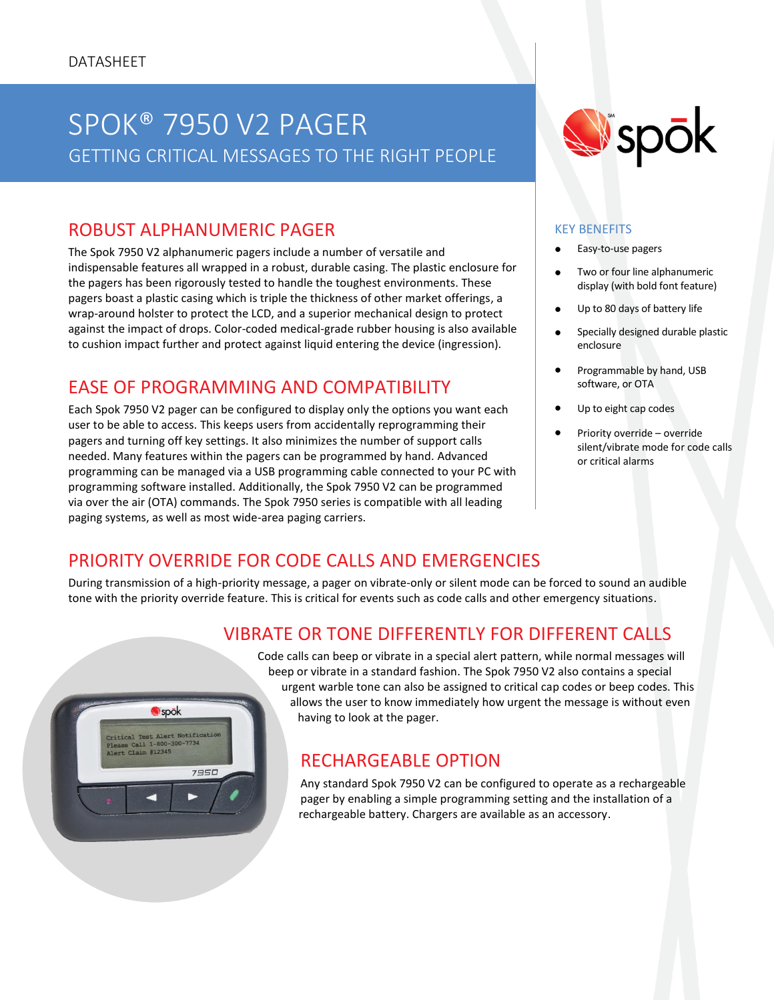## SPOK® 7950 V2 PAGER PUBLIC SAFETY TELEPHONY GETTING CRITICAL MESSAGES TO THE RIGHT PEOPLE

## ROBUST ALPHANUMERIC PAGER

The Spok 7950 V2 alphanumeric pagers include a number of versatile and indispensable features all wrapped in a robust, durable casing. The plastic enclosure for the pagers has been rigorously tested to handle the toughest environments. These pagers boast a plastic casing which is triple the thickness of other market offerings, a wrap-around holster to protect the LCD, and a superior mechanical design to protect against the impact of drops. Color-coded medical-grade rubber housing is also available to cushion impact further and protect against liquid entering the device (ingression).

## EASE OF PROGRAMMING AND COMPATIBILITY

Each Spok 7950 V2 pager can be configured to display only the options you want each user to be able to access. This keeps users from accidentally reprogramming their pagers and turning off key settings. It also minimizes the number of support calls needed. Many features within the pagers can be programmed by hand. Advanced programming can be managed via a USB programming cable connected to your PC with programming software installed. Additionally, the Spok 7950 V2 can be programmed via over the air (OTA) commands. The Spok 7950 series is compatible with all leading paging systems, as well as most wide-area paging carriers.

# **W**spok

#### KEY BENEFITS

- Easy-to-use pagers
- Two or four line alphanumeric display (with bold font feature)
- Up to 80 days of battery life
- Specially designed durable plastic enclosure
- Programmable by hand, USB software, or OTA
- Up to eight cap codes
- Priority override override silent/vibrate mode for code calls or critical alarms

## PRIORITY OVERRIDE FOR CODE CALLS AND EMERGENCIES

During transmission of a high-priority message, a pager on vibrate-only or silent mode can be forced to sound an audible tone with the priority override feature. This is critical for events such as code calls and other emergency situations.





Code calls can beep or vibrate in a special alert pattern, while normal messages will beep or vibrate in a standard fashion. The Spok 7950 V2 also contains a special urgent warble tone can also be assigned to critical cap codes or beep codes. This allows the user to know immediately how urgent the message is without even having to look at the pager.

### RECHARGEABLE OPTION

Any standard Spok 7950 V2 can be configured to operate as a rechargeable pager by enabling a simple programming setting and the installation of a rechargeable battery. Chargers are available as an accessory.